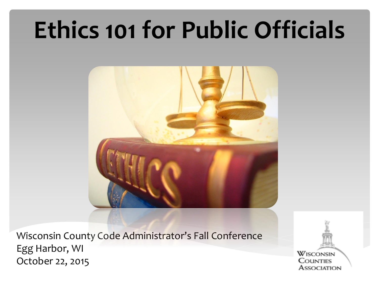# **Ethics 101 for Public Officials**



Wisconsin County Code Administrator's Fall Conference Egg Harbor, WI October 22, 2015

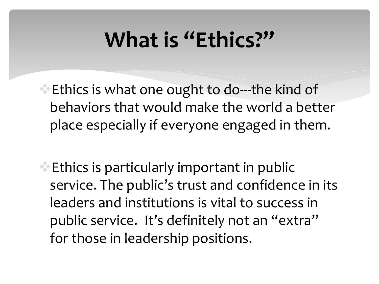#### **What is "Ethics?"**

**Ethics is what one ought to do---the kind of** behaviors that would make the world a better place especially if everyone engaged in them.

 $\triangle$  Ethics is particularly important in public service. The public's trust and confidence in its leaders and institutions is vital to success in public service. It's definitely not an "extra" for those in leadership positions.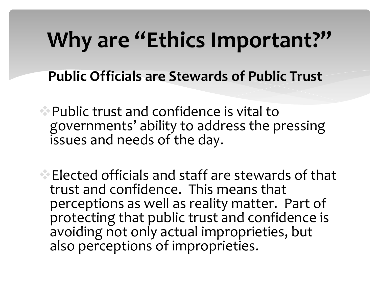### **Why are "Ethics Important?"**

- **Public Officials are Stewards of Public Trust**
- Public trust and confidence is vital to governments' ability to address the pressing issues and needs of the day.
- Elected officials and staff are stewards of that trust and confidence. This means that perceptions as well as reality matter. Part of protecting that public trust and confidence is avoiding not only actual improprieties, but also perceptions of improprieties.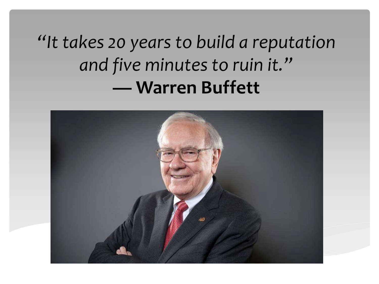*"It takes 20 years to build a reputation and five minutes to ruin it."*  **— Warren Buffett** 

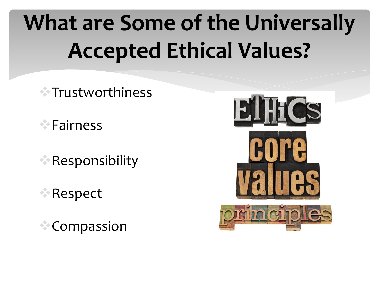# **What are Some of the Universally Accepted Ethical Values?**

- Trustworthiness
- **Eairness**
- Responsibility
- Respect
- Compassion

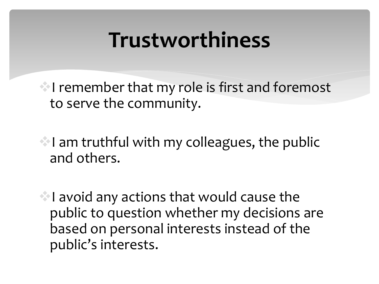#### **Trustworthiness**

I remember that my role is first and foremost to serve the community.

 $\blacksquare$  I am truthful with my colleagues, the public and others.

 $\blacksquare$  I avoid any actions that would cause the public to question whether my decisions are based on personal interests instead of the public's interests.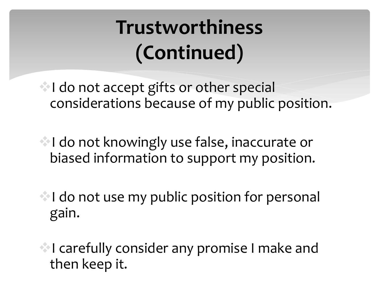#### **Trustworthiness (Continued)**

I do not accept gifts or other special considerations because of my public position.

I do not knowingly use false, inaccurate or biased information to support my position.

I do not use my public position for personal gain.

I carefully consider any promise I make and then keep it.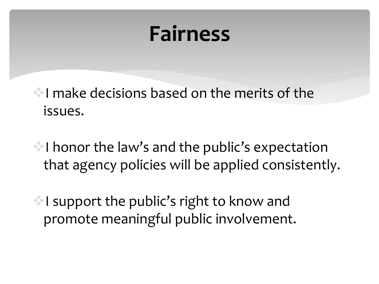#### **Fairness**

I make decisions based on the merits of the issues.

I honor the law's and the public's expectation that agency policies will be applied consistently.

 $\blacksquare$  I support the public's right to know and promote meaningful public involvement.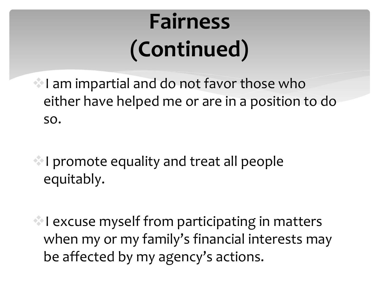# **Fairness (Continued)**

I am impartial and do not favor those who either have helped me or are in a position to do so.

I promote equality and treat all people equitably.

I excuse myself from participating in matters when my or my family's financial interests may be affected by my agency's actions.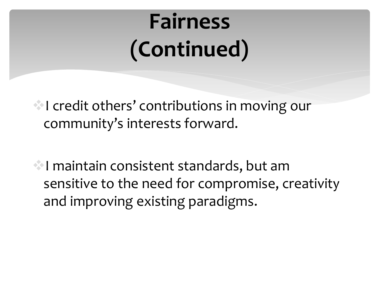# **Fairness (Continued)**

**I credit others' contributions in moving our** community's interests forward.

I maintain consistent standards, but am sensitive to the need for compromise, creativity and improving existing paradigms.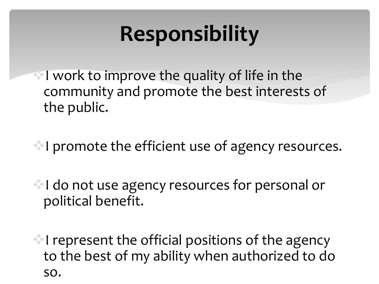## **Responsibility**

I work to improve the quality of life in the community and promote the best interests of the public.

I promote the efficient use of agency resources.

I do not use agency resources for personal or political benefit.

 $\blacksquare$  I represent the official positions of the agency to the best of my ability when authorized to do so.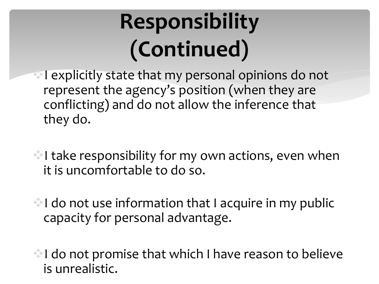# **Responsibility (Continued)**

**I explicitly state that my personal opinions do not** represent the agency's position (when they are conflicting) and do not allow the inference that they do.

I take responsibility for my own actions, even when it is uncomfortable to do so.

 $\bullet$  I do not use information that I acquire in my public capacity for personal advantage.

I do not promise that which I have reason to believe is unrealistic.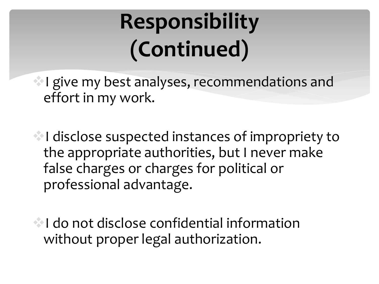# **Responsibility (Continued)**

I give my best analyses, recommendations and effort in my work.

I disclose suspected instances of impropriety to the appropriate authorities, but I never make false charges or charges for political or professional advantage.

**I do not disclose confidential information** without proper legal authorization.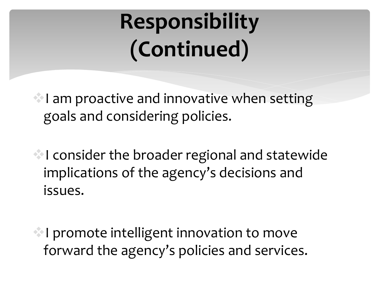# **Responsibility (Continued)**

 $\blacksquare$  I am proactive and innovative when setting goals and considering policies.

I consider the broader regional and statewide implications of the agency's decisions and issues.

**I** promote intelligent innovation to move forward the agency's policies and services.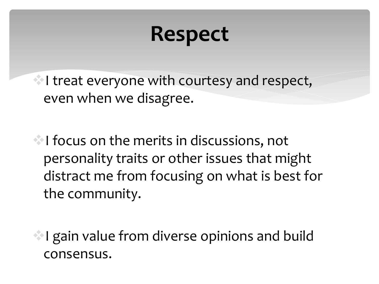#### **Respect**

 $\blacksquare$  I treat everyone with courtesy and respect, even when we disagree.

I focus on the merits in discussions, not personality traits or other issues that might distract me from focusing on what is best for the community.

I gain value from diverse opinions and build consensus.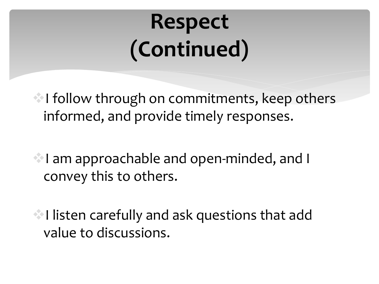# **Respect (Continued)**

I follow through on commitments, keep others informed, and provide timely responses.

I am approachable and open-minded, and I convey this to others.

I listen carefully and ask questions that add value to discussions.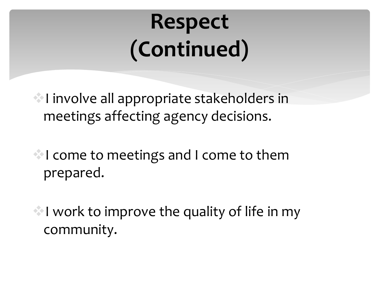# **Respect (Continued)**

I involve all appropriate stakeholders in meetings affecting agency decisions.

I come to meetings and I come to them prepared.

 $\blacksquare$  I work to improve the quality of life in my community.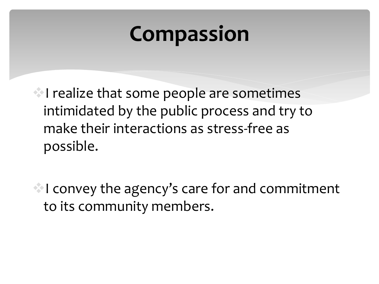#### **Compassion**

I realize that some people are sometimes intimidated by the public process and try to make their interactions as stress-free as possible.

I convey the agency's care for and commitment to its community members.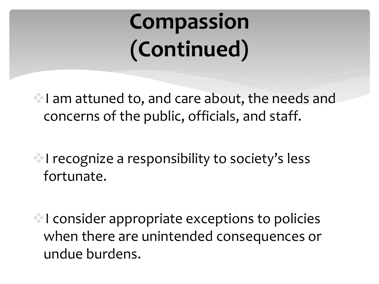# **Compassion (Continued)**

I am attuned to, and care about, the needs and concerns of the public, officials, and staff.

I recognize a responsibility to society's less fortunate.

 $\blacksquare$  I consider appropriate exceptions to policies when there are unintended consequences or undue burdens.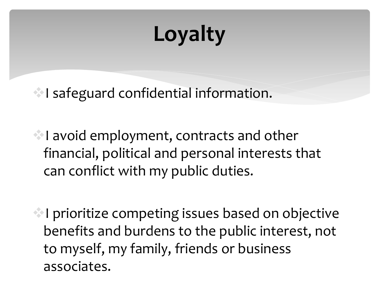## **Loyalty**

I safeguard confidential information.

I avoid employment, contracts and other financial, political and personal interests that can conflict with my public duties.

I prioritize competing issues based on objective benefits and burdens to the public interest, not to myself, my family, friends or business associates.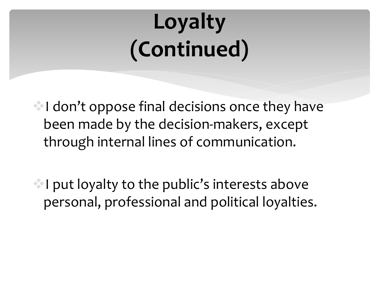# **Loyalty (Continued)**

 $\blacksquare$ I don't oppose final decisions once they have been made by the decision-makers, except through internal lines of communication.

 $\blacksquare$  I put loyalty to the public's interests above personal, professional and political loyalties.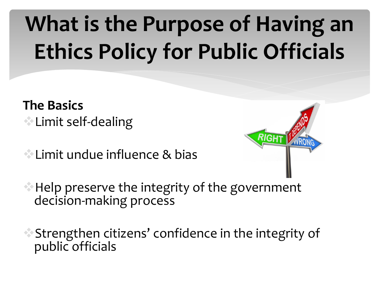# **What is the Purpose of Having an Ethics Policy for Public Officials**

- **The Basics** Limit self-dealing
- Limit undue influence & bias



- **Help preserve the integrity of the government** decision-making process
- Strengthen citizens' confidence in the integrity of public officials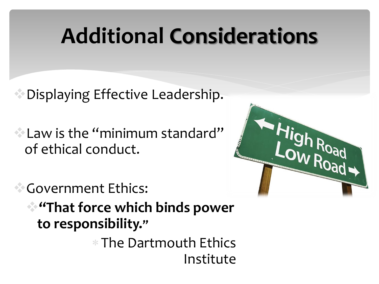#### **Additional Considerations**

 $\bullet$  Displaying Effective Leadership.

Law is the "minimum standard" of ethical conduct.

Government Ethics: **"That force which binds power** 

**to responsibility."**

 $*$  The Dartmouth Ethics Institute

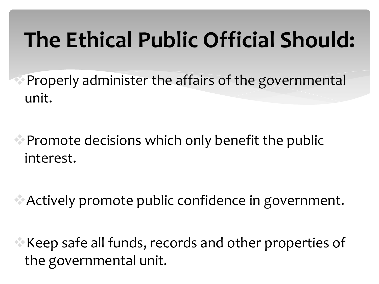## **The Ethical Public Official Should:**

**Properly administer the affairs of the governmentall** unit.

**• Promote decisions which only benefit the public** interest.

Actively promote public confidence in government.

Keep safe all funds, records and other properties of the governmental unit.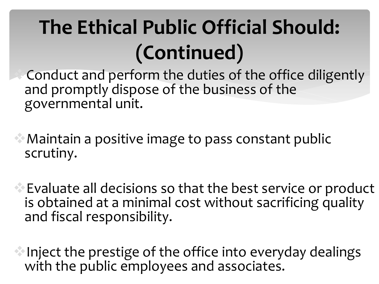#### **The Ethical Public Official Should: (Continued)**

Conduct and perform the duties of the office diligently and promptly dispose of the business of the governmental unit.

Maintain a positive image to pass constant public scrutiny.

Evaluate all decisions so that the best service or product is obtained at a minimal cost without sacrificing quality and fiscal responsibility.

Inject the prestige of the office into everyday dealings with the public employees and associates.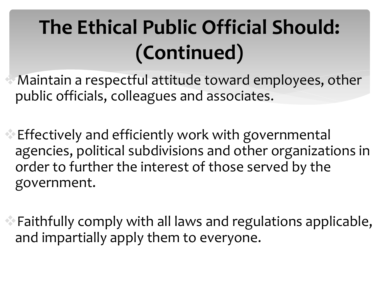#### **The Ethical Public Official Should: (Continued)**

Maintain a respectful attitude toward employees, other public officials, colleagues and associates.

- Effectively and efficiently work with governmental agencies, political subdivisions and other organizations in order to further the interest of those served by the government.
- Faithfully comply with all laws and regulations applicable, and impartially apply them to everyone.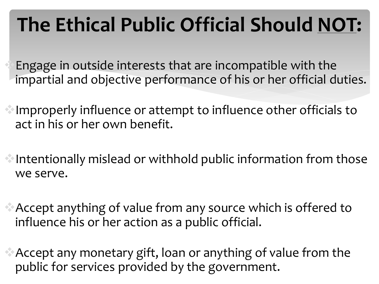#### **The Ethical Public Official Should NOT:**

Engage in outside interests that are incompatible with the impartial and objective performance of his or her official duties.

- Improperly influence or attempt to influence other officials to act in his or her own benefit.
- Intentionally mislead or withhold public information from those we serve.
- Accept anything of value from any source which is offered to influence his or her action as a public official.
- Accept any monetary gift, loan or anything of value from the public for services provided by the government.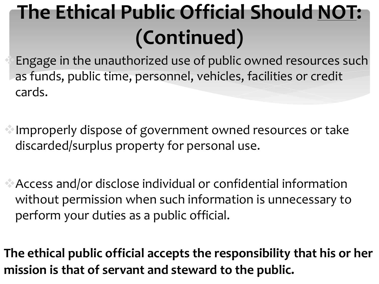### **The Ethical Public Official Should NOT: (Continued)**

Engage in the unauthorized use of public owned resources such as funds, public time, personnel, vehicles, facilities or credit cards.

Improperly dispose of government owned resources or take discarded/surplus property for personal use.

Access and/or disclose individual or confidential information without permission when such information is unnecessary to perform your duties as a public official.

**The ethical public official accepts the responsibility that his or her mission is that of servant and steward to the public.**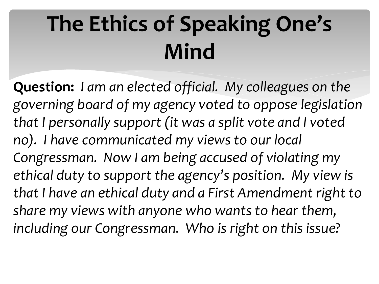# **The Ethics of Speaking One's Mind**

**Question:** *I am an elected official. My colleagues on the governing board of my agency voted to oppose legislation that I personally support (it was a split vote and I voted no). I have communicated my views to our local Congressman. Now I am being accused of violating my ethical duty to support the agency's position. My view is that I have an ethical duty and a First Amendment right to share my views with anyone who wants to hear them, including our Congressman. Who is right on this issue?*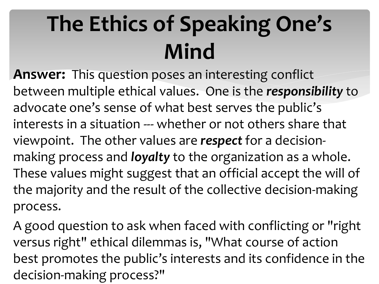# **The Ethics of Speaking One's Mind**

**Answer:** This question poses an interesting conflict between multiple ethical values. One is the *responsibility* to advocate one's sense of what best serves the public's interests in a situation --- whether or not others share that viewpoint. The other values are *respect* for a decisionmaking process and *loyalty* to the organization as a whole. These values might suggest that an official accept the will of the majority and the result of the collective decision-making process.

A good question to ask when faced with conflicting or "right versus right" ethical dilemmas is, "What course of action best promotes the public's interests and its confidence in the decision-making process?"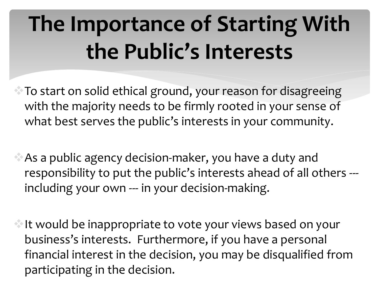# **The Importance of Starting With the Public's Interests**

- $\bullet$  To start on solid ethical ground, your reason for disagreeing with the majority needs to be firmly rooted in your sense of what best serves the public's interests in your community.
- As a public agency decision-maker, you have a duty and responsibility to put the public's interests ahead of all others -- including your own --- in your decision-making.
- It would be inappropriate to vote your views based on your business's interests. Furthermore, if you have a personal financial interest in the decision, you may be disqualified from participating in the decision.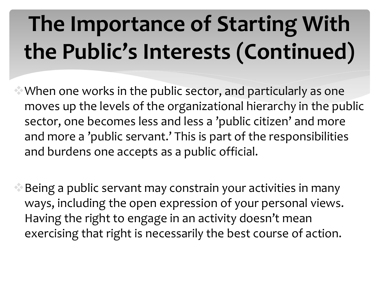# **The Importance of Starting With the Public's Interests (Continued)**

When one works in the public sector, and particularly as one moves up the levels of the organizational hierarchy in the public sector, one becomes less and less a 'public citizen' and more and more a 'public servant.' This is part of the responsibilities and burdens one accepts as a public official.

Being a public servant may constrain your activities in many ways, including the open expression of your personal views. Having the right to engage in an activity doesn't mean exercising that right is necessarily the best course of action.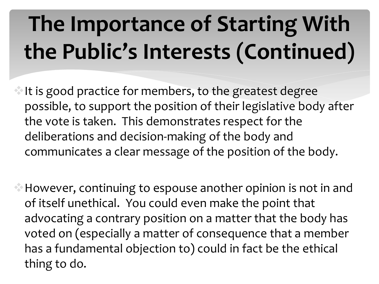# **The Importance of Starting With the Public's Interests (Continued)**

It is good practice for members, to the greatest degree possible, to support the position of their legislative body after the vote is taken. This demonstrates respect for the deliberations and decision-making of the body and communicates a clear message of the position of the body.

However, continuing to espouse another opinion is not in and of itself unethical. You could even make the point that advocating a contrary position on a matter that the body has voted on (especially a matter of consequence that a member has a fundamental objection to) could in fact be the ethical thing to do.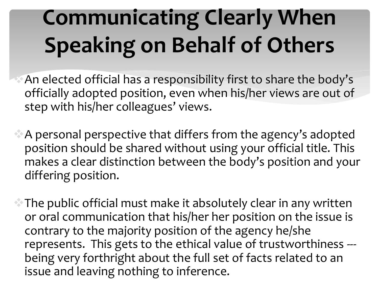# **Communicating Clearly When Speaking on Behalf of Others**

An elected official has a responsibility first to share the body's officially adopted position, even when his/her views are out of step with his/her colleagues' views.

A personal perspective that differs from the agency's adopted position should be shared without using your official title. This makes a clear distinction between the body's position and your differing position.

The public official must make it absolutely clear in any written or oral communication that his/her her position on the issue is contrary to the majority position of the agency he/she represents. This gets to the ethical value of trustworthiness -- being very forthright about the full set of facts related to an issue and leaving nothing to inference.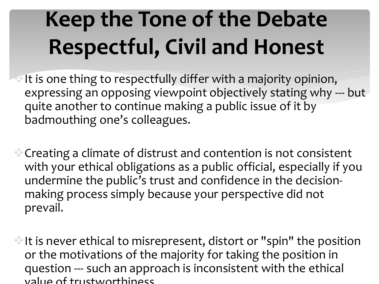# **Keep the Tone of the Debate Respectful, Civil and Honest**

It is one thing to respectfully differ with a majority opinion, expressing an opposing viewpoint objectively stating why --- but quite another to continue making a public issue of it by badmouthing one's colleagues.

Creating a climate of distrust and contention is not consistent with your ethical obligations as a public official, especially if you undermine the public's trust and confidence in the decisionmaking process simply because your perspective did not prevail.

It is never ethical to misrepresent, distort or "spin" the position or the motivations of the majority for taking the position in question --- such an approach is inconsistent with the ethical value of trustworthiness.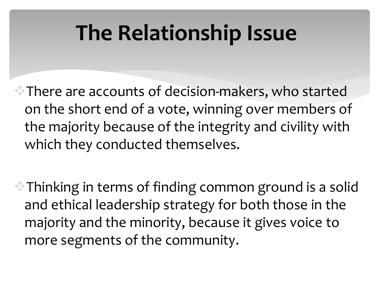#### **The Relationship Issue**

 $\bullet$  There are accounts of decision-makers, who started on the short end of a vote, winning over members of the majority because of the integrity and civility with which they conducted themselves.

Thinking in terms of finding common ground is a solid and ethical leadership strategy for both those in the majority and the minority, because it gives voice to more segments of the community.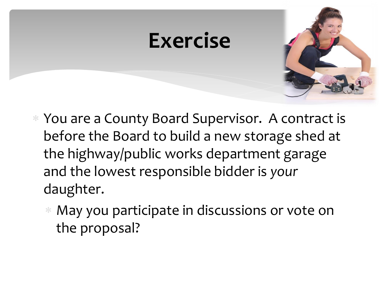# **Exercise**

- You are a County Board Supervisor. A contract is before the Board to build a new storage shed at the highway/public works department garage and the lowest responsible bidder is *your* daughter.
	- May you participate in discussions or vote on the proposal?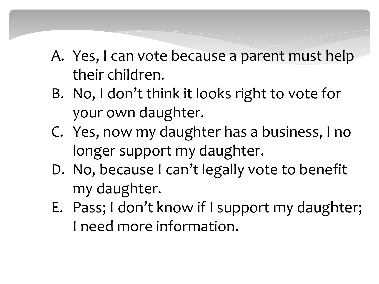- A. Yes, I can vote because a parent must help their children.
- B. No, I don't think it looks right to vote for your own daughter.
- C. Yes, now my daughter has a business, I no longer support my daughter.
- D. No, because I can't legally vote to benefit my daughter.
- E. Pass; I don't know if I support my daughter; I need more information.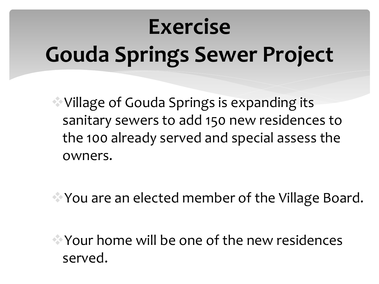# **Exercise Gouda Springs Sewer Project**

Village of Gouda Springs is expanding its sanitary sewers to add 150 new residences to the 100 already served and special assess the owners.

You are an elected member of the Village Board.

Your home will be one of the new residences served.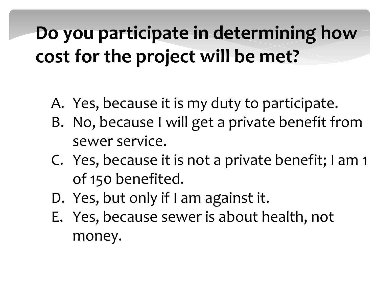#### **Do you participate in determining how cost for the project will be met?**

- A. Yes, because it is my duty to participate.
- B. No, because I will get a private benefit from sewer service.
- C. Yes, because it is not a private benefit; I am 1 of 150 benefited.
- D. Yes, but only if I am against it.
- E. Yes, because sewer is about health, not money.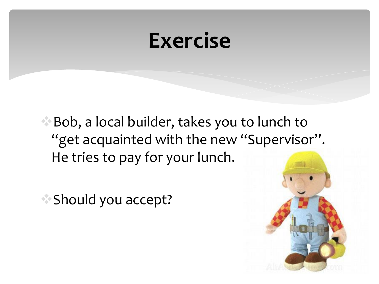#### **Exercise**

Bob, a local builder, takes you to lunch to "get acquainted with the new "Supervisor". He tries to pay for your lunch.

Should you accept?

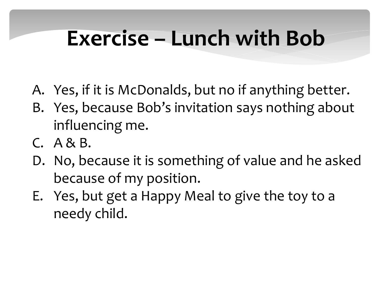#### **Exercise – Lunch with Bob**

- A. Yes, if it is McDonalds, but no if anything better.
- B. Yes, because Bob's invitation says nothing about influencing me.
- C. A & B.
- D. No, because it is something of value and he asked because of my position.
- E. Yes, but get a Happy Meal to give the toy to a needy child.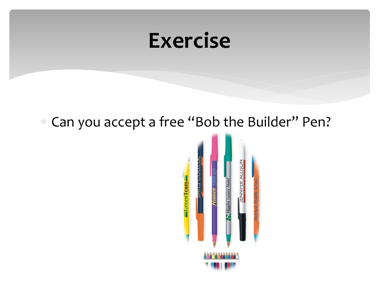#### **Exercise**

#### Can you accept a free "Bob the Builder" Pen?

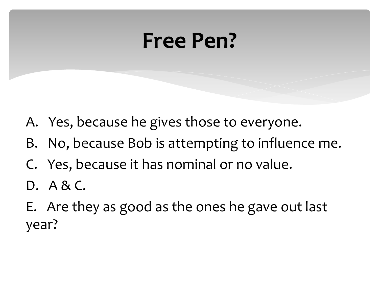#### **Free Pen?**

- A. Yes, because he gives those to everyone.
- B. No, because Bob is attempting to influence me.
- C. Yes, because it has nominal or no value.
- D. A & C.
- E. Are they as good as the ones he gave out last year?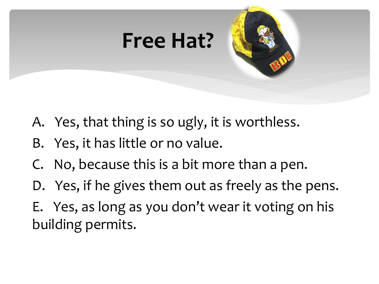

- A. Yes, that thing is so ugly, it is worthless.
- B. Yes, it has little or no value.
- C. No, because this is a bit more than a pen.
- D. Yes, if he gives them out as freely as the pens.
- E. Yes, as long as you don't wear it voting on his building permits.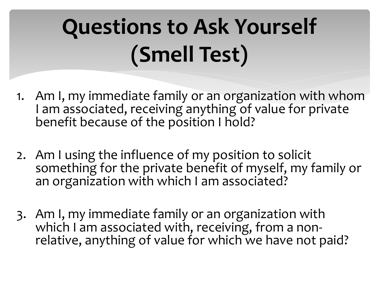# **Questions to Ask Yourself (Smell Test)**

- 1. Am I, my immediate family or an organization with whom I am associated, receiving anything of value for private benefit because of the position I hold?
- 2. Am I using the influence of my position to solicit something for the private benefit of myself, my family or an organization with which I am associated?
- 3. Am I, my immediate family or an organization with which I am associated with, receiving, from a nonrelative, anything of value for which we have not paid?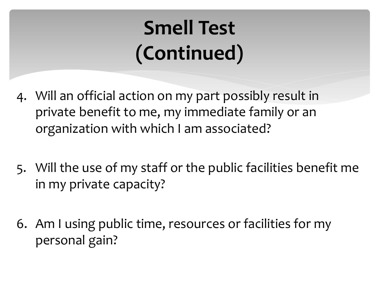#### **Smell Test (Continued)**

- 4. Will an official action on my part possibly result in private benefit to me, my immediate family or an organization with which I am associated?
- 5. Will the use of my staff or the public facilities benefit me in my private capacity?
- 6. Am I using public time, resources or facilities for my personal gain?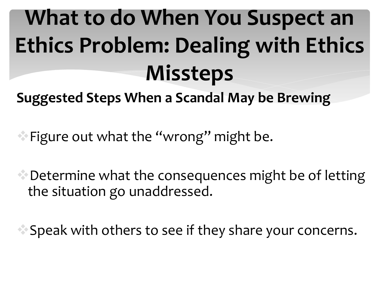# **What to do When You Suspect an Ethics Problem: Dealing with Ethics Missteps**

**Suggested Steps When a Scandal May be Brewing**

Figure out what the "wrong" might be.

Determine what the consequences might be of letting the situation go unaddressed.

Speak with others to see if they share your concerns.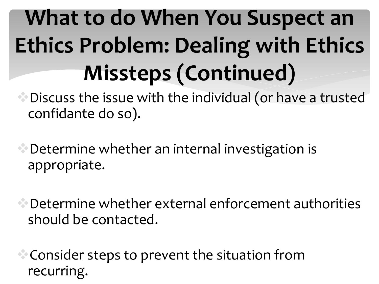# **What to do When You Suspect an Ethics Problem: Dealing with Ethics Missteps (Continued)**

 $\bullet$  Discuss the issue with the individual (or have a trusted confidante do so).

Determine whether an internal investigation is appropriate.

Determine whether external enforcement authorities should be contacted.

Consider steps to prevent the situation from recurring.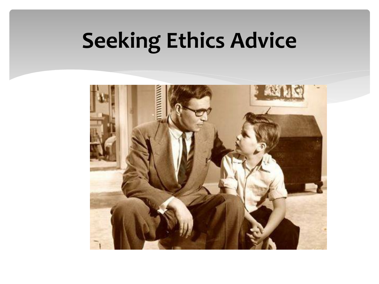## **Seeking Ethics Advice**

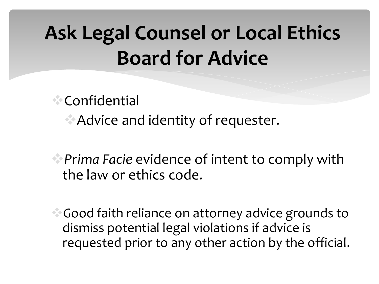#### **Ask Legal Counsel or Local Ethics Board for Advice**

Confidential Advice and identity of requester.

*Prima Facie* evidence of intent to comply with the law or ethics code.

*G*ood faith reliance on attorney advice grounds to dismiss potential legal violations if advice is requested prior to any other action by the official.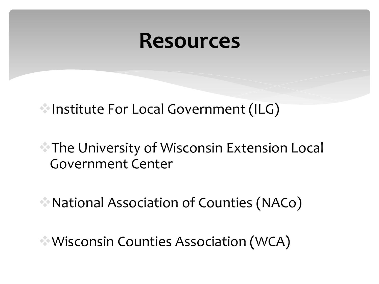#### **Resources**

Institute For Local Government (ILG)

#### **The University of Wisconsin Extension Local** Government Center

National Association of Counties (NACo)

Wisconsin Counties Association (WCA)